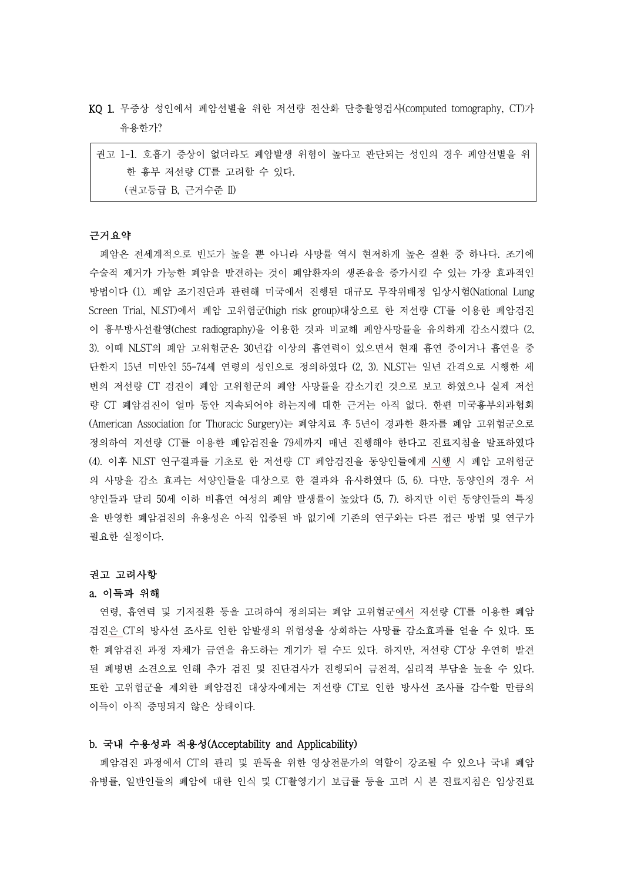KQ 1. 무증상 성인에서 폐암선별을 위한 저선량 전산화 단층촬영검사(computed tomography, CT)가 유용한가?

권고 1-1. 호흡기 증상이 없더라도 폐암발생 위험이 높다고 판단되는 성인의 경우 폐암선별을 위 한 흉부 저선량 CT를 고려할 수 있다. (권고등급 B, 근거수준 II)

### 근거요약

폐암은 전세계적으로 빈도가 높을 뿐 아니라 사망률 역시 현저하게 높은 질환 중 하나다. 조기에 수술적 제거가 가능한 폐암을 발견하는 것이 폐암환자의 생존율을 증가시킬 수 있는 가장 효과적인 방법이다 (1). 폐암 조기진단과 관련해 미국에서 진행된 대규모 무작위배정 임상시험(National Lung Screen Trial, NLST)에서 폐암 고위험군(high risk group)대상으로 한 저선량 CT를 이용한 폐암검진 이 흉부방사선촬영(chest radiography)을 이용한 것과 비교해 폐암사망률을 유의하게 감소시켰다 (2, 3). 이때 NLST의 폐암 고위험군은 30년갑 이상의 흡연력이 있으면서 현재 흡연 중이거나 흡연을 중 단한지 15년 미만인 55-74세 연령의 성인으로 정의하였다 (2, 3). NLST는 일년 간격으로 시행한 세 번의 저선량 CT 검진이 폐암 고위험군의 폐암 사망률을 감소기킨 것으로 보고 하였으나 실제 저선 량 CT 폐암검진이 얼마 동안 지속되어야 하는지에 대한 근거는 아직 없다. 한편 미국흉부외과협회 (American Association for Thoracic Surgery)는 폐암치료 후 5년이 경과한 환자를 폐암 고위험군으로 정의하여 저선량 CT를 이용한 폐암검진을 79세까지 매년 진행해야 한다고 진료지침을 발표하였다 (4). 이후 NLST 연구결과를 기초로 한 저선량 CT 페암검진을 동양인들에게 시행 시 폐암 고위험군 의 사망율 감소 효과는 서양인들을 대상으로 한 결과와 유사하였다 (5, 6). 다만, 동양인의 경우 서 양인들과 달리 50세 이하 비흡연 여성의 폐암 발생률이 높았다 (5, 7). 하지만 이런 동양인들의 특징 을 반영한 폐암검진의 유용성은 아직 입증된 바 없기에 기존의 연구와는 다른 접근 방법 및 연구가 필요한 실정이다.<br>**권고 고려사항** 

#### a. 이득과 위해

연령, 흡연력 및 기저질환 등을 고려하여 정의되는 폐암 고위험군에서 저선량 CT를 이용한 폐암 검진은 CT의 방사선 조사로 인한 암발생의 위험성을 상회하는 사망률 감소효과를 얻을 수 있다. 또 한 폐암검진 과정 자체가 금연을 유도하는 계기가 될 수도 있다. 하지만, 저선량 CT상 우연히 발견 된 폐병변 소견으로 인해 추가 검진 및 진단검사가 진행되어 금전적, 심리적 부담을 높을 수 있다.<br>또한 고위험군을 제외한 폐암검진 대상자에게는 저선량 CT로 인한 방사선 조사를 감수할 만큼의 이득이 아직 증명되지 않은 상태이다.

#### b. 국내 수용성과 적용성(Acceptability and Applicability)

폐암검진 과정에서 CT의 관리 및 판독을 위한 영상전문가의 역할이 강조될 수 있으나 국내 폐암 유병률, 일반인들의 폐암에 대한 인식 및 CT촬영기기 보급률 등을 고려 시 본 진료지침은 임상진료